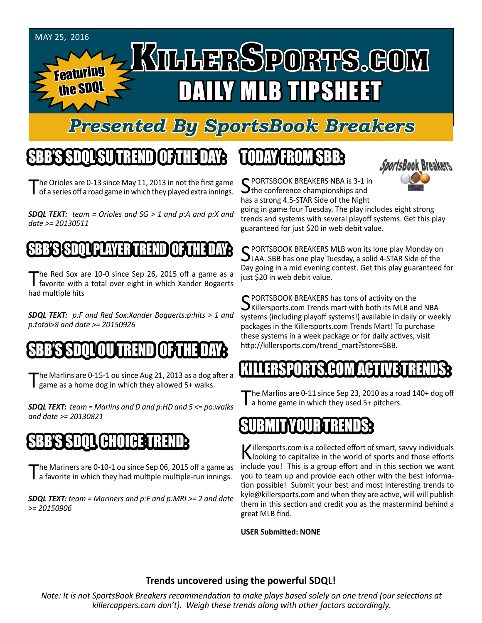

#### *Presented By SportsBook Breakers*

#### SBB'S SDQL SU TREND OF THE DAY:

The Orioles are 0-13 since May 11, 2013 in not the first game<br>of a series off a road game in which they played extra innings.

*SDQL TEXT: team = Orioles and SG > 1 and p:A and p:X and date >= 20130511*

#### BB**'s SSSSSED PLAYER T**

The Red Sox are 10-0 since Sep 26, 2015 off a game as a favorite with a total over eight in which Xander Bogaerts had multiple hits

*SDQL TEXT: p:F and Red Sox:Xander Bogaerts:p:hits > 1 and p:total>8 and date >= 20150926*

#### SBB'S SDQLOU TREND OF THE DAY:

The Marlins are 0-15-1 ou since Aug 21, 2013 as a dog after a game as a home dog in which they allowed 5+ walks.

*SDQL TEXT: team = Marlins and D and p:HD and 5 <= po:walks and date >= 20130821*

## SBB'S SDQL CHOICE TREND

The Mariners are 0-10-1 ou since Sep 06, 2015 off a game as<br>a favorite in which they had multiple multiple-run innings.

*SDQL TEXT: team = Mariners and p:F and p:MRI >= 2 and date >= 20150906*

#### TODAY HAOMSBB



C PORTSBOOK BREAKERS NBA is 3-1 in  $\lambda$  the conference championships and has a strong 4.5-STAR Side of the Night

going in game four Tuesday. The play includes eight strong trends and systems with several playoff systems. Get this play guaranteed for just \$20 in web debit value.

C PORTSBOOK BREAKERS MLB won its lone play Monday on  $\bigcup$ LAA. SBB has one play Tuesday, a solid 4-STAR Side of the Day going in a mid evening contest. Get this play guaranteed for just \$20 in web debit value.

C PORTSBOOK BREAKERS has tons of activity on the  $\mathbf{\mathcal{S}}$ Killersports.com Trends mart with both its MLB and NBA systems (including playoff systems!) available in daily or weekly packages in the Killersports.com Trends Mart! To purchase these systems in a week package or for daily actives, visit http://killersports.com/trend\_mart?store=SBB.

#### S COM ACT

The Marlins are 0-11 since Sep 23, 2010 as a road 140+ dog off a home game in which they used 5+ pitchers.

## SUBMITYOUR TRENDS:

Killersports.com is a collected effort of smart, savvy individuals<br>Nooking to capitalize in the world of sports and those efforts include you! This is a group effort and in this section we want you to team up and provide each other with the best information possible! Submit your best and most interesting trends to kyle@killersports.com and when they are active, will will publish them in this section and credit you as the mastermind behind a great MLB find.

**USER Submitted: NONE**

#### **Trends uncovered using the powerful SDQL!**

*Note: It is not SportsBook Breakers recommendation to make plays based solely on one trend (our selections at killercappers.com don't). Weigh these trends along with other factors accordingly.*